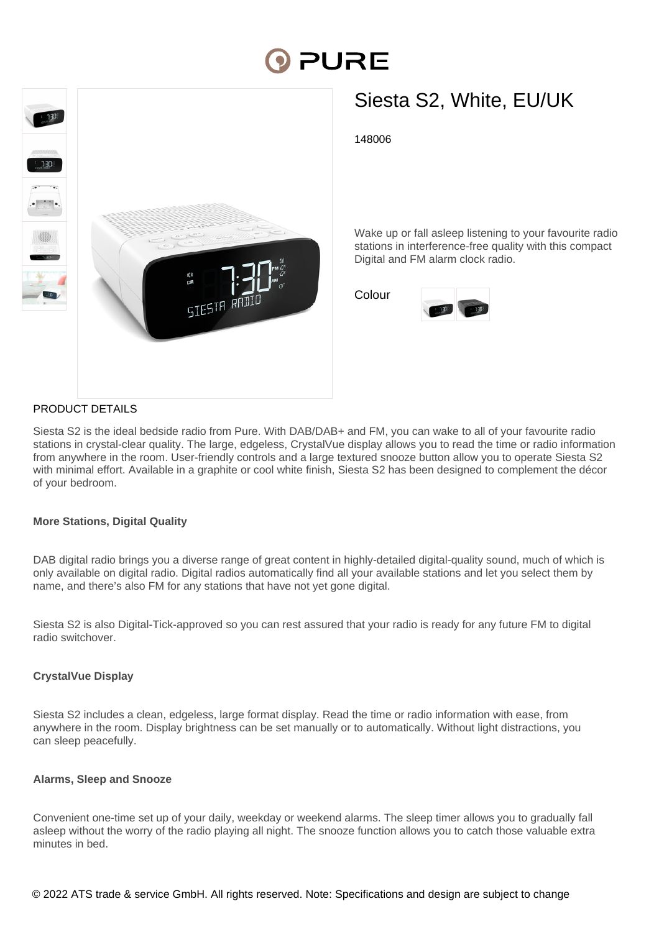# PURE



# Siesta S2, White, EU/UK

148006

Wake up or fall asleep listening to your favourite radio stations in interference-free quality with this compact Digital and FM alarm clock radio.

Colour



### PRODUCT DETAILS

Siesta S2 is the ideal bedside radio from Pure. With DAB/DAB+ and FM, you can wake to all of your favourite radio stations in crystal-clear quality. The large, edgeless, CrystalVue display allows you to read the time or radio information from anywhere in the room. User-friendly controls and a large textured snooze button allow you to operate Siesta S2 with minimal effort. Available in a graphite or cool white finish, Siesta S2 has been designed to complement the décor of your bedroom.

#### **More Stations, Digital Quality**

DAB digital radio brings you a diverse range of great content in highly-detailed digital-quality sound, much of which is only available on digital radio. Digital radios automatically find all your available stations and let you select them by name, and there's also FM for any stations that have not yet gone digital.

Siesta S2 is also Digital-Tick-approved so you can rest assured that your radio is ready for any future FM to digital radio switchover.

#### **CrystalVue Display**

Siesta S2 includes a clean, edgeless, large format display. Read the time or radio information with ease, from anywhere in the room. Display brightness can be set manually or to automatically. Without light distractions, you can sleep peacefully.

#### **Alarms, Sleep and Snooze**

Convenient one-time set up of your daily, weekday or weekend alarms. The sleep timer allows you to gradually fall asleep without the worry of the radio playing all night. The snooze function allows you to catch those valuable extra minutes in bed.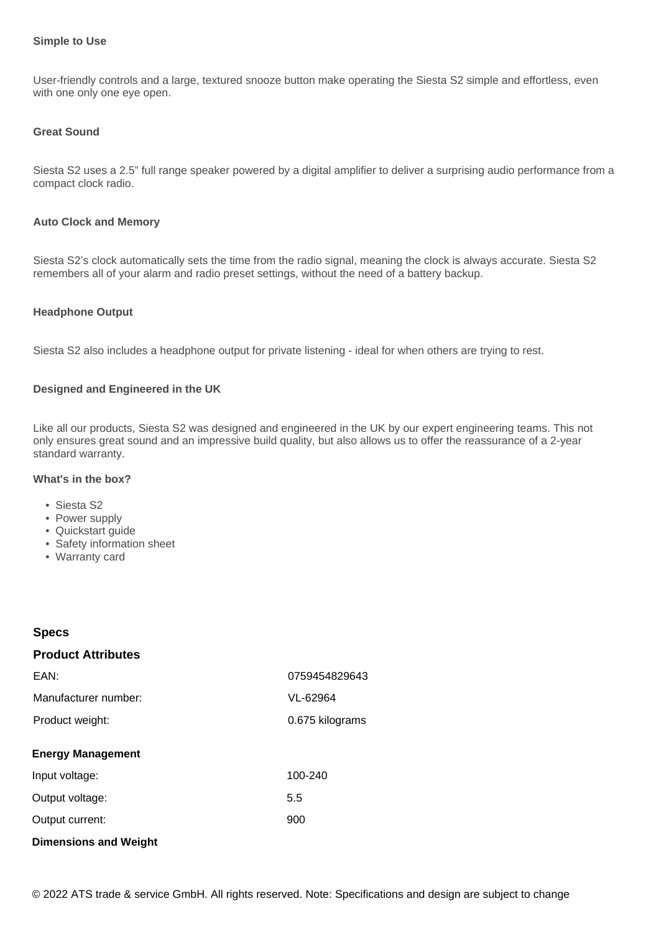#### **Simple to Use**

User-friendly controls and a large, textured snooze button make operating the Siesta S2 simple and effortless, even with one only one eye open.

#### **Great Sound**

Siesta S2 uses a 2.5" full range speaker powered by a digital amplifier to deliver a surprising audio performance from a compact clock radio.

#### **Auto Clock and Memory**

Siesta S2's clock automatically sets the time from the radio signal, meaning the clock is always accurate. Siesta S2 remembers all of your alarm and radio preset settings, without the need of a battery backup.

#### **Headphone Output**

Siesta S2 also includes a headphone output for private listening - ideal for when others are trying to rest.

#### **Designed and Engineered in the UK**

Like all our products, Siesta S2 was designed and engineered in the UK by our expert engineering teams. This not only ensures great sound and an impressive build quality, but also allows us to offer the reassurance of a 2-year standard warranty.

#### **What's in the box?**

- Siesta S2
- Power supply
- Quickstart guide
- Safety information sheet
- Warranty card

## **Specs Product Attributes Energy Management** Input voltage: 100-240 Output voltage: 5.5 Output current: 900 EAN: 0759454829643 Manufacturer number: VL-62964 Product weight: 0.675 kilograms

### **Dimensions and Weight**